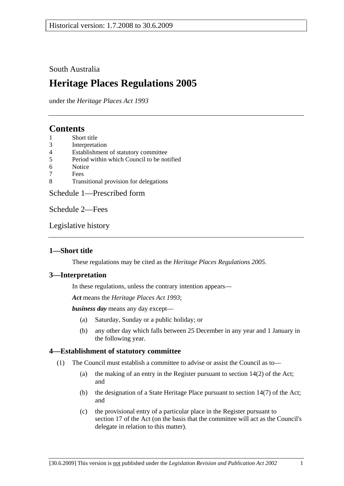## South Australia

# **Heritage Places Regulations 2005**

under the *Heritage Places Act 1993*

## **Contents**

- 1 Short title
- 3 Interpretation
- 4 Establishment of statutory committee
- 5 Period within which Council to be notified
- 6 Notice
- 7 Fees
- 8 Transitional provision for delegations

Schedule 1—Prescribed form

Schedule 2—Fees

Legislative history

## **1—Short title**

These regulations may be cited as the *Heritage Places Regulations 2005*.

### **3—Interpretation**

In these regulations, unless the contrary intention appears—

*Act* means the *Heritage Places Act 1993*;

*business day* means any day except—

- (a) Saturday, Sunday or a public holiday; or
- (b) any other day which falls between 25 December in any year and 1 January in the following year.

## **4—Establishment of statutory committee**

- (1) The Council must establish a committee to advise or assist the Council as to—
	- (a) the making of an entry in the Register pursuant to section 14(2) of the Act; and
	- (b) the designation of a State Heritage Place pursuant to section 14(7) of the Act; and
	- (c) the provisional entry of a particular place in the Register pursuant to section 17 of the Act (on the basis that the committee will act as the Council's delegate in relation to this matter).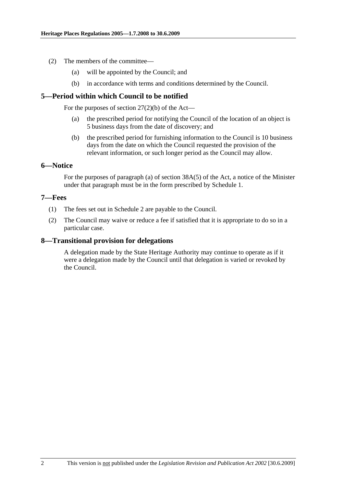- (2) The members of the committee—
	- (a) will be appointed by the Council; and
	- (b) in accordance with terms and conditions determined by the Council.

### **5—Period within which Council to be notified**

For the purposes of section  $27(2)(b)$  of the Act—

- (a) the prescribed period for notifying the Council of the location of an object is 5 business days from the date of discovery; and
- (b) the prescribed period for furnishing information to the Council is 10 business days from the date on which the Council requested the provision of the relevant information, or such longer period as the Council may allow.

### **6—Notice**

For the purposes of paragraph (a) of section 38A(5) of the Act, a notice of the Minister under that paragraph must be in the form prescribed by Schedule 1.

### **7—Fees**

- (1) The fees set out in Schedule 2 are payable to the Council.
- (2) The Council may waive or reduce a fee if satisfied that it is appropriate to do so in a particular case.

### **8—Transitional provision for delegations**

A delegation made by the State Heritage Authority may continue to operate as if it were a delegation made by the Council until that delegation is varied or revoked by the Council.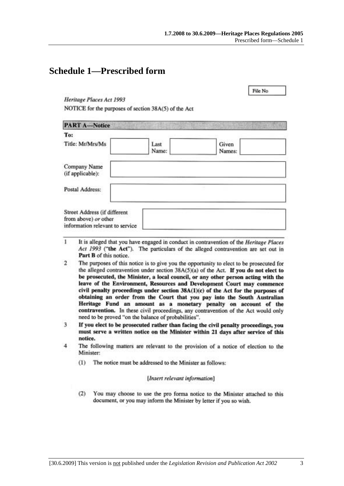File No.

## **Schedule 1—Prescribed form**

Heritage Places Act 1993

NOTICE for the purposes of section 38A(5) of the Act

| <b>PART A-Notice</b>                                                                    |               |                 |
|-----------------------------------------------------------------------------------------|---------------|-----------------|
| To:                                                                                     |               |                 |
| Title: Mr/Mrs/Ms                                                                        | Last<br>Name: | Given<br>Names: |
| Company Name<br>(if applicable):                                                        |               |                 |
| Postal Address:                                                                         |               |                 |
| Street Address (if different<br>from above) or other<br>information relevant to service |               |                 |

- 1 It is alleged that you have engaged in conduct in contravention of the Heritage Places Act 1993 ("the Act"). The particulars of the alleged contravention are set out in Part B of this notice.
- $\overline{2}$ The purposes of this notice is to give you the opportunity to elect to be prosecuted for the alleged contravention under section  $38A(5)(a)$  of the Act. If you do not elect to be prosecuted, the Minister, a local council, or any other person acting with the leave of the Environment, Resources and Development Court may commence civil penalty proceedings under section 38A(1)(c) of the Act for the purposes of obtaining an order from the Court that you pay into the South Australian Heritage Fund an amount as a monetary penalty on account of the contravention. In these civil proceedings, any contravention of the Act would only need to be proved "on the balance of probabilities".
- 3 If you elect to be prosecuted rather than facing the civil penalty proceedings, you must serve a written notice on the Minister within 21 days after service of this notice.
- $\overline{4}$ The following matters are relevant to the provision of a notice of election to the Minister:
	- The notice must be addressed to the Minister as follows:  $(1)$

### [Insert relevant information]

 $(2)$ You may choose to use the pro forma notice to the Minister attached to this document, or you may inform the Minister by letter if you so wish.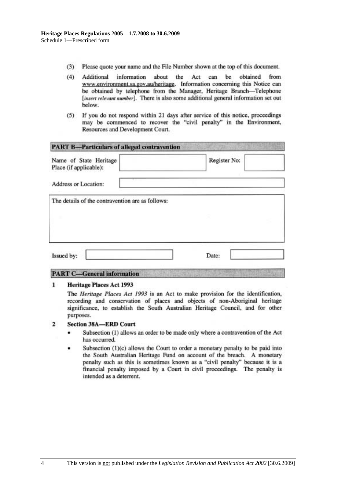- $(3)$ Please quote your name and the File Number shown at the top of this document.
- $(4)$ information about the Act can be obtained from Additional www.environment.sa.gov.au/heritage. Information concerning this Notice can be obtained by telephone from the Manager, Heritage Branch-Telephone [insert relevant number]. There is also some additional general information set out below.
- If you do not respond within 21 days after service of this notice, proceedings  $(5)$ may be commenced to recover the "civil penalty" in the Environment, Resources and Development Court.

| Name of State Heritage<br>Place (if applicable): | Register No: |
|--------------------------------------------------|--------------|
| Address or Location:                             |              |
| The details of the contravention are as follows: |              |
|                                                  |              |
|                                                  |              |
|                                                  |              |

## **PART C-General information**

#### **Heritage Places Act 1993** 1

The Heritage Places Act 1993 is an Act to make provision for the identification, recording and conservation of places and objects of non-Aboriginal heritage significance, to establish the South Australian Heritage Council, and for other purposes.

#### $\overline{2}$ **Section 38A-ERD Court**

- Subsection (1) allows an order to be made only where a contravention of the Act has occurred.
- Subsection (1)(c) allows the Court to order a monetary penalty to be paid into the South Australian Heritage Fund on account of the breach. A monetary penalty such as this is sometimes known as a "civil penalty" because it is a financial penalty imposed by a Court in civil proceedings. The penalty is intended as a deterrent.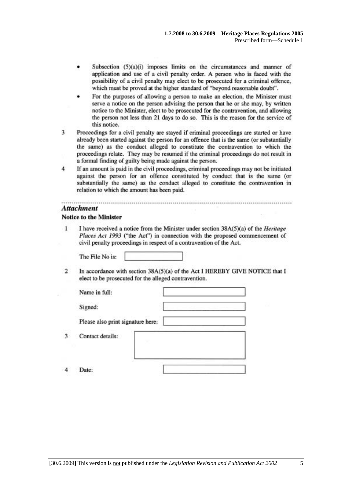- Subsection (5)(a)(i) imposes limits on the circumstances and manner of application and use of a civil penalty order. A person who is faced with the possibility of a civil penalty may elect to be prosecuted for a criminal offence, which must be proved at the higher standard of "beyond reasonable doubt".
- For the purposes of allowing a person to make an election, the Minister must serve a notice on the person advising the person that he or she may, by written notice to the Minister, elect to be prosecuted for the contravention, and allowing the person not less than 21 days to do so. This is the reason for the service of this notice.
- Proceedings for a civil penalty are stayed if criminal proceedings are started or have 3 already been started against the person for an offence that is the same (or substantially the same) as the conduct alleged to constitute the contravention to which the proceedings relate. They may be resumed if the criminal proceedings do not result in a formal finding of guilty being made against the person.
- $\overline{4}$ If an amount is paid in the civil proceedings, criminal proceedings may not be initiated against the person for an offence constituted by conduct that is the same (or substantially the same) as the conduct alleged to constitute the contravention in relation to which the amount has been paid.

### **Attachment**

### **Notice to the Minister**

1 I have received a notice from the Minister under section 38A(5)(a) of the *Heritage* Places Act 1993 ("the Act") in connection with the proposed commencement of civil penalty proceedings in respect of a contravention of the Act.

The File No is:

 $\overline{2}$ In accordance with section 38A(5)(a) of the Act I HEREBY GIVE NOTICE that I elect to be prosecuted for the alleged contravention.

| Name in full:                     |   |
|-----------------------------------|---|
| Signed:                           | x |
| Please also print signature here: |   |
| Contact details:                  |   |
|                                   |   |

 $\boldsymbol{A}$ Date:

3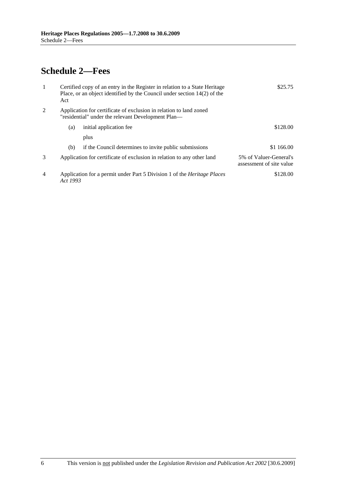# **Schedule 2—Fees**

| $\mathbf{1}$   | Act      | Certified copy of an entry in the Register in relation to a State Heritage<br>Place, or an object identified by the Council under section $14(2)$ of the | \$25.75                                            |
|----------------|----------|----------------------------------------------------------------------------------------------------------------------------------------------------------|----------------------------------------------------|
| 2              |          | Application for certificate of exclusion in relation to land zoned<br>"residential" under the relevant Development Plan—                                 |                                                    |
|                | (a)      | initial application fee                                                                                                                                  | \$128.00                                           |
|                |          | plus                                                                                                                                                     |                                                    |
|                | (b)      | if the Council determines to invite public submissions                                                                                                   | \$1 166.00                                         |
| 3              |          | Application for certificate of exclusion in relation to any other land                                                                                   | 5% of Valuer-General's<br>assessment of site value |
| $\overline{4}$ | Act 1993 | Application for a permit under Part 5 Division 1 of the <i>Heritage Places</i>                                                                           | \$128.00                                           |